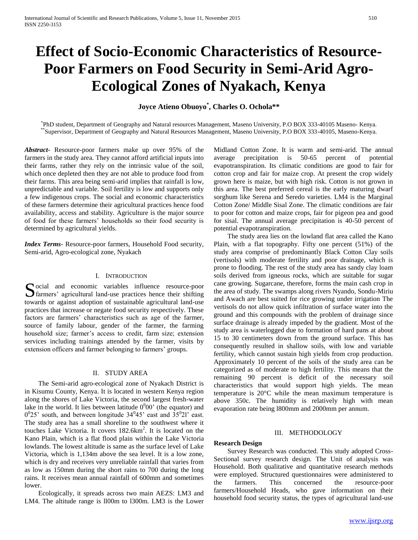# **Effect of Socio-Economic Characteristics of Resource-Poor Farmers on Food Security in Semi-Arid Agro-Ecological Zones of Nyakach, Kenya**

**Joyce Atieno Obuoyo\* , Charles O. Ochola\*\***

\* PhD student, Department of Geography and Natural resources Management, Maseno University, P.O BOX 333-40105 Maseno- Kenya. \*\*Supervisor, Department of Geography and Natural Resources Management, Maseno University, P.O BOX 333-40105, Maseno-Kenya.

*Abstract***-** Resource-poor farmers make up over 95% of the farmers in the study area. They cannot afford artificial inputs into their farms, rather they rely on the intrinsic value of the soil, which once depleted then they are not able to produce food from their farms. This area being semi-arid implies that rainfall is low, unpredictable and variable. Soil fertility is low and supports only a few indigenous crops. The social and economic characteristics of these farmers determine their agricultural practices hence food availability, access and stability. Agriculture is the major source of food for these farmers' households so their food security is determined by agricultural yields.

*Index Terms*- Resource-poor farmers, Household Food security, Semi-arid, Agro-ecological zone, Nyakach

## I. INTRODUCTION

ocial and economic variables influence resource-poor Social and economic variables influence resource-poor farmers' agricultural land-use practices hence their shifting towards or against adoption of sustainable agricultural land-use practices that increase or negate food security respectively. These factors are farmers' characteristics such as age of the farmer, source of family labour, gender of the farmer, the farming household size; farmer's access to credit, farm size; extension services including trainings attended by the farmer, visits by extension officers and farmer belonging to farmers' groups.

#### II. STUDY AREA

 The Semi-arid agro-ecological zone of Nyakach District is in Kisumu County, Kenya. It is located in western Kenya region along the shores of Lake Victoria, the second largest fresh-water lake in the world. It lies between latitude  $0^000'$  (the equator) and  $0^0$ 25' south, and between longitude 34 $^0$ 45' east and  $35^0$ 21' east. The study area has a small shoreline to the southwest where it touches Lake Victoria. It covers 182.6km<sup>2</sup>. It is located on the Kano Plain, which is a flat flood plain within the Lake Victoria lowlands. The lowest altitude is same as the surface level of Lake Victoria, which is 1,134m above the sea level. It is a low zone, which is dry and receives very unreliable rainfall that varies from as low as 150mm during the short rains to 700 during the long rains. It receives mean annual rainfall of 600mm and sometimes lower.

 Ecologically, it spreads across two main AEZS: LM3 and LM4. The altitude range is ll00m to l300m. LM3 is the Lower Midland Cotton Zone. It is warm and semi-arid. The annual average precipitation is 50-65 percent of potential evapotranspiration. Its climatic conditions are good to fair for cotton crop and fair for maize crop. At present the crop widely grown here is maize, but with high risk. Cotton is not grown in this area. The best preferred cereal is the early maturing dwarf sorghum like Serena and Seredo varieties. LM4 is the Marginal Cotton Zone/ Middle Sisal Zone. The climatic conditions are fair to poor for cotton and maize crops, fair for pigeon pea and good for sisal. The annual average precipitation is 40-50 percent of potential evapotranspiration.

 The study area lies on the lowland flat area called the Kano Plain, with a flat topography. Fifty one percent (51%) of the study area comprise of predominantly Black Cotton Clay soils (vertisols) with moderate fertility and poor drainage, which is prone to flooding. The rest of the study area has sandy clay loam soils derived from igneous rocks, which are suitable for sugar cane growing. Sugarcane, therefore, forms the main cash crop in the area of study. The swamps along rivers Nyando, Sondu-Miriu and Awach are best suited for rice growing under irrigation The vertisols do not allow quick infiltration of surface water into the ground and this compounds with the problem of drainage since surface drainage is already impeded by the gradient. Most of the study area is waterlogged due to formation of hard pans at about 15 to 30 centimeters down from the ground surface. This has consequently resulted in shallow soils, with low and variable fertility, which cannot sustain high yields from crop production. Approximately 10 percent of the soils of the study area can be categorized as of moderate to high fertility. This means that the remaining 90 percent is deficit of the necessary soil characteristics that would support high yields. The mean temperature is 20°C while the mean maximum temperature is above 350c. The humidity is relatively high with mean evaporation rate being l800mm and 2000mm per annum.

#### III. METHODOLOGY

# **Research Design**

 Survey Research was conducted. This study adopted Cross-Sectional survey research design. The Unit of analysis was Household. Both qualitative and quantitative research methods were employed. Structured questionnaires were administered to the farmers. This concerned the resource-poor farmers/Household Heads, who gave information on their household food security status, the types of agricultural land-use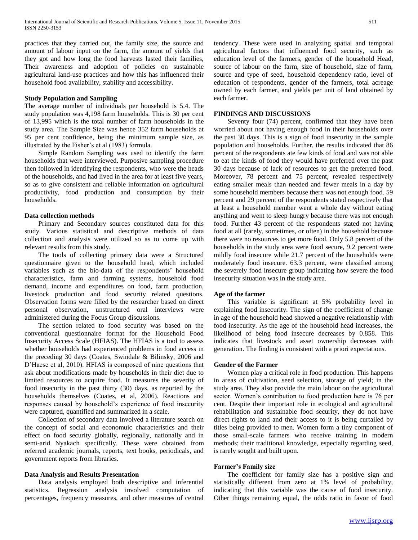practices that they carried out, the family size, the source and amount of labour input on the farm, the amount of yields that they got and how long the food harvests lasted their families, Their awareness and adoption of policies on sustainable agricultural land-use practices and how this has influenced their household food availability, stability and accessibility.

#### **Study Population and Sampling**

The average number of individuals per household is 5.4. The study population was 4,198 farm households. This is 30 per cent of 13,995 which is the total number of farm households in the study area. The Sample Size was hence 352 farm households at 95 per cent confidence, being the minimum sample size, as illustrated by the Fisher's et al (1983) formula.

 Simple Random Sampling was used to identify the farm households that were interviewed. Purposive sampling procedure then followed in identifying the respondents, who were the heads of the households, and had lived in the area for at least five years, so as to give consistent and reliable information on agricultural productivity, food production and consumption by their households.

#### **Data collection methods**

 Primary and Secondary sources constituted data for this study. Various statistical and descriptive methods of data collection and analysis were utilized so as to come up with relevant results from this study.

 The tools of collecting primary data were a Structured questionnaire given to the household head, which included variables such as the bio-data of the respondents' household characteristics, farm and farming systems, household food demand, income and expenditures on food, farm production, livestock production and food security related questions. Observation forms were filled by the researcher based on direct personal observation, unstructured oral interviews were administered during the Focus Group discussions.

 The section related to food security was based on the conventional questionnaire format for the Household Food Insecurity Access Scale (HFIAS). The HFIAS is a tool to assess whether households had experienced problems in food access in the preceding 30 days (Coates, Swindale & Bilinsky, 2006 and D'Haese et al, 2010). HFIAS is composed of nine questions that ask about modifications made by households in their diet due to limited resources to acquire food. It measures the severity of food insecurity in the past thirty (30) days, as reported by the households themselves (Coates, et al, 2006). Reactions and responses caused by household's experience of food insecurity were captured, quantified and summarized in a scale.

 Collection of secondary data involved a literature search on the concept of social and economuic characteristics and their effect on food security globally, regionally, nationally and in semi-arid Nyakach specifically. These were obtained from referred academic journals, reports, text books, periodicals, and government reports from libraries.

#### **Data Analysis and Results Presentation**

 Data analysis employed both descriptive and inferential statistics. Regression analysis involved computation of percentages, frequency measures, and other measures of central

tendency. These were used in analyzing spatial and temporal agricultural factors that influenced food security, such as education level of the farmers, gender of the household Head, source of labour on the farm, size of household, size of farm, source and type of seed, household dependency ratio, level of education of respondents, gender of the farmers, total acreage owned by each farmer, and yields per unit of land obtained by each farmer.

#### **FINDINGS AND DISCUSSIONS**

 Seventy four (74) percent, confirmed that they have been worried about not having enough food in their households over the past 30 days. This is a sign of food insecurity in the sample population and households. Further, the results indicated that 86 percent of the respondents ate few kinds of food and was not able to eat the kinds of food they would have preferred over the past 30 days because of lack of resources to get the preferred food. Moreover, 78 percent and 75 percent, revealed respectively eating smaller meals than needed and fewer meals in a day by some household members because there was not enough food. 59 percent and 29 percent of the respondents stated respectively that at least a household member went a whole day without eating anything and went to sleep hungry because there was not enough food. Further 43 percent of the respondents stated not having food at all (rarely, sometimes, or often) in the household because there were no resources to get more food. Only 5.8 percent of the households in the study area were food secure, 9.2 percent were mildly food insecure while 21.7 percent of the households were moderately food insecure. 63.3 percent, were classified among the severely food insecure group indicating how severe the food insecurity situation was in the study area.

#### **Age of the farmer**

 This variable is significant at 5% probability level in explaining food insecurity. The sign of the coefficient of change in age of the household head showed a negative relationship with food insecurity. As the age of the household head increases, the likelihood of being food insecure decreases by 0.858. This indicates that livestock and asset ownership decreases with generation. The finding is consistent with a priori expectations.

#### **Gender of the Farmer**

 Women play a critical role in food production. This happens in areas of cultivation, seed selection, storage of yield; in the study area. They also provide the main labour on the agricultural sector. Women's contribution to food production here is 76 per cent. Despite their important role in ecological and agricultural rehabilitation and sustainable food security, they do not have direct rights to land and their access to it is being curtailed by titles being provided to men. Women form a tiny component of those small-scale farmers who receive training in modern methods; their traditional knowledge, especially regarding seed, is rarely sought and built upon.

#### **Farmer's Family size**

 The coefficient for family size has a positive sign and statistically different from zero at 1% level of probability, indicating that this variable was the cause of food insecurity. Other things remaining equal, the odds ratio in favor of food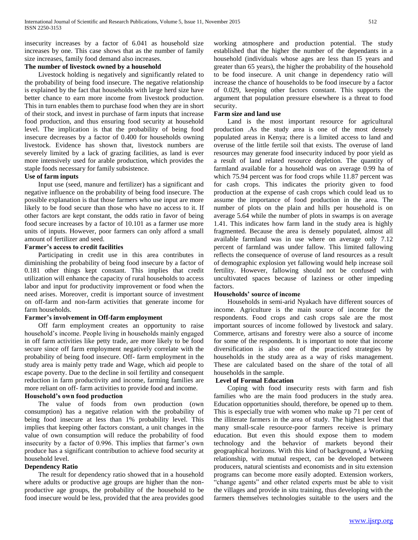insecurity increases by a factor of 6.041 as household size increases by one. This case shows that as the number of family size increases, family food demand also increases.

# **The number of livestock owned by a household**

 Livestock holding is negatively and significantly related to the probability of being food insecure. The negative relationship is explained by the fact that households with large herd size have better chance to earn more income from livestock production. This in turn enables them to purchase food when they are in short of their stock, and invest in purchase of farm inputs that increase food production, and thus ensuring food security at household level. The implication is that the probability of being food insecure decreases by a factor of 0.400 for households owning livestock. Evidence has shown that, livestock numbers are severely limited by a lack of grazing facilities, as land is ever more intensively used for arable production, which provides the staple foods necessary for family subsistence.

# **Use of farm inputs**

 Input use (seed, manure and fertilizer) has a significant and negative influence on the probability of being food insecure. The possible explanation is that those farmers who use input are more likely to be food secure than those who have no access to it. If other factors are kept constant, the odds ratio in favor of being food secure increases by a factor of 10.101 as a farmer use more units of inputs. However, poor farmers can only afford a small amount of fertilizer and seed.

# **Farmer's access to credit facilities**

 Participating in credit use in this area contributes in diminishing the probability of being food insecure by a factor of 0.181 other things kept constant. This implies that credit utilization will enhance the capacity of rural households to access labor and input for productivity improvement or food when the need arises. Moreover, credit is important source of investment on off-farm and non-farm activities that generate income for farm households.

# **Farmer's involvement in Off-farm employment**

 Off farm employment creates an opportunity to raise household's income. People living in households mainly engaged in off farm activities like petty trade, are more likely to be food secure since off farm employment negatively correlate with the probability of being food insecure. Off- farm employment in the study area is mainly petty trade and Wage, which aid people to escape poverty. Due to the decline in soil fertility and consequent reduction in farm productivity and income, farming families are more reliant on off- farm activities to provide food and income.

# **Household's own food production**

 The value of foods from own production (own consumption) has a negative relation with the probability of being food insecure at less than 1% probability level. This implies that keeping other factors constant, a unit changes in the value of own consumption will reduce the probability of food insecurity by a factor of 0.996. This implies that farmer's own produce has a significant contribution to achieve food security at household level.

# **Dependency Ratio**

 The result for dependency ratio showed that in a household where adults or productive age groups are higher than the nonproductive age groups, the probability of the household to be food insecure would be less, provided that the area provides good

working atmosphere and production potential. The study established that the higher the number of the dependants in a household (individuals whose ages are less than I5 years and greater than 65 years), the higher the probability of the household to be food insecure. A unit change in dependency ratio will increase the chance of households to be food insecure by a factor of 0.029, keeping other factors constant. This supports the argument that population pressure elsewhere is a threat to food security.

## **Farm size and land use**

 Land is the most important resource for agricultural production .As the study area is one of the most densely populated areas in Kenya; there is a limited access to land and overuse of the little fertile soil that exists. The overuse of land resources may generate food insecurity induced by poor yield as a result of land related resource depletion. The quantity of farmland available for a household was on average 0.99 ha of which 75.94 percent was for food crops while 11.87 percent was for cash crops. This indicates the priority given to food production at the expense of cash crops which could lead us to assume the importance of food production in the area. The number of plots on the plain and hills per household is on average 5.64 while the number of plots in swamps is on average 1.41. This indicates how farm land in the study area is highly fragmented. Because the area is densely populated, almost all available farmland was in use where on average only 7.12 percent of farmland was under fallow. This limited fallowing reflects the consequence of overuse of land resources as a result of demographic explosion yet fallowing would help increase soil fertility. However, fallowing should not be confused with uncultivated spaces because of laziness or other impeding factors.

# **Households' source of income**

 Households in semi-arid Nyakach have different sources of income. Agriculture is the main source of income for the respondents. Food crops and cash crops sale are the most important sources of income followed by livestock and salary. Commerce, artisans and forestry were also a source of income for some of the respondents. It is important to note that income diversification is also one of the practiced strategies by households in the study area as a way of risks management. These are calculated based on the share of the total of all households in the sample.

# **Level of Formal Education**

 Coping with food insecurity rests with farm and fish families who are the main food producers in the study area. Education opportunities should, therefore, be opened up to them. This is especially true with women who make up 71 per cent of the illiterate farmers in the area of study. The highest level that many small-scale resource-poor farmers receive is primary education. But even this should expose them to modem technology and the behavior of markets beyond their geographical horizons. With this kind of background, a Working relationship, with mutual respect, can be developed between producers, natural scientists and economists and in situ extension programs can become more easily adopted. Extension workers, "change agents" and other related experts must be able to visit the villages and provide in situ training, thus developing with the farmers themselves technologies suitable to the users and the